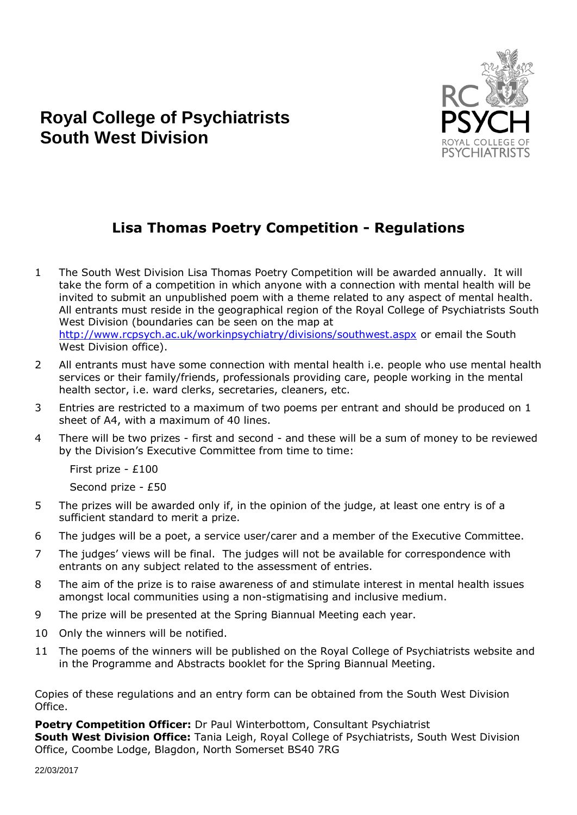

## **Royal College of Psychiatrists South West Division**

## **Lisa Thomas Poetry Competition - Regulations**

- 1 The South West Division Lisa Thomas Poetry Competition will be awarded annually. It will take the form of a competition in which anyone with a connection with mental health will be invited to submit an unpublished poem with a theme related to any aspect of mental health. All entrants must reside in the geographical region of the Royal College of Psychiatrists South West Division (boundaries can be seen on the map at <http://www.rcpsych.ac.uk/workinpsychiatry/divisions/southwest.aspx> or email the South West Division office).
- 2 All entrants must have some connection with mental health i.e. people who use mental health services or their family/friends, professionals providing care, people working in the mental health sector, i.e. ward clerks, secretaries, cleaners, etc.
- 3 Entries are restricted to a maximum of two poems per entrant and should be produced on 1 sheet of A4, with a maximum of 40 lines.
- 4 There will be two prizes first and second and these will be a sum of money to be reviewed by the Division's Executive Committee from time to time:

First prize - £100

Second prize - £50

- 5 The prizes will be awarded only if, in the opinion of the judge, at least one entry is of a sufficient standard to merit a prize.
- 6 The judges will be a poet, a service user/carer and a member of the Executive Committee.
- 7 The judges' views will be final. The judges will not be available for correspondence with entrants on any subject related to the assessment of entries.
- 8 The aim of the prize is to raise awareness of and stimulate interest in mental health issues amongst local communities using a non-stigmatising and inclusive medium.
- 9 The prize will be presented at the Spring Biannual Meeting each year.
- 10 Only the winners will be notified.
- 11 The poems of the winners will be published on the Royal College of Psychiatrists website and in the Programme and Abstracts booklet for the Spring Biannual Meeting.

Copies of these regulations and an entry form can be obtained from the South West Division Office.

**Poetry Competition Officer:** Dr Paul Winterbottom, Consultant Psychiatrist **South West Division Office:** Tania Leigh, Royal College of Psychiatrists, South West Division Office, Coombe Lodge, Blagdon, North Somerset BS40 7RG